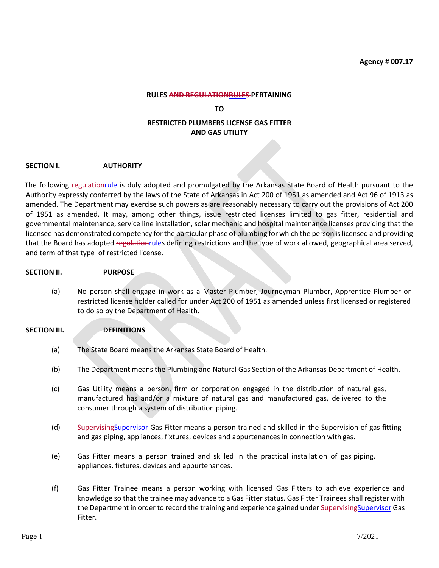**Agency # 007.17**

#### **RULES AND REGULATIONRULES PERTAINING**

**TO**

# **RESTRICTED PLUMBERS LICENSE GAS FITTER AND GAS UTILITY**

#### **SECTION I. AUTHORITY**

The following regulationrule is duly adopted and promulgated by the Arkansas State Board of Health pursuant to the Authority expressly conferred by the laws of the State of Arkansas in Act 200 of 1951 as amended and Act 96 of 1913 as amended. The Department may exercise such powers as are reasonably necessary to carry out the provisions of Act 200 of 1951 as amended. It may, among other things, issue restricted licenses limited to gas fitter, residential and governmental maintenance, service line installation, solar mechanic and hospital maintenance licenses providing that the licensee has demonstrated competency for the particular phase of plumbing for which the person is licensed and providing that the Board has adopted regulationrules defining restrictions and the type of work allowed, geographical area served, and term of that type of restricted license.

#### **SECTION II. PURPOSE**

(a) No person shall engage in work as a Master Plumber, Journeyman Plumber, Apprentice Plumber or restricted license holder called for under Act 200 of 1951 as amended unless first licensed or registered to do so by the Department of Health.

## **SECTION III. DEFINITIONS**

- (a) The State Board means the Arkansas State Board of Health.
- (b) The Department means the Plumbing and Natural Gas Section of the Arkansas Department of Health.
- (c) Gas Utility means a person, firm or corporation engaged in the distribution of natural gas, manufactured has and/or a mixture of natural gas and manufactured gas, delivered to the consumer through a system of distribution piping.
- (d) SupervisingSupervisor Gas Fitter means a person trained and skilled in the Supervision of gas fitting and gas piping, appliances, fixtures, devices and appurtenances in connection with gas.
- (e) Gas Fitter means a person trained and skilled in the practical installation of gas piping, appliances, fixtures, devices and appurtenances.
- (f) Gas Fitter Trainee means a person working with licensed Gas Fitters to achieve experience and knowledge so that the trainee may advance to a Gas Fitter status. Gas Fitter Trainees shall register with the Department in order to record the training and experience gained under Supervising Supervisor Gas Fitter.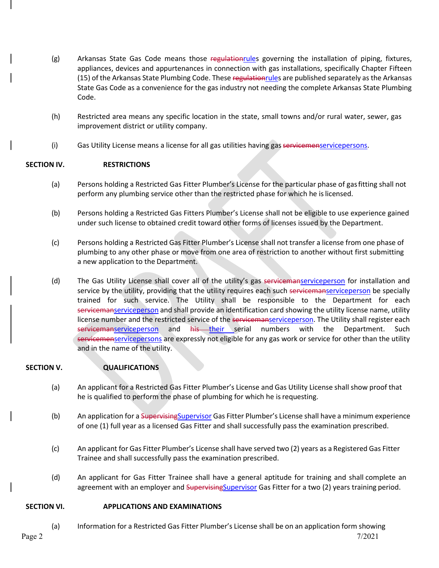- (g) Arkansas State Gas Code means those regulationrules governing the installation of piping, fixtures, appliances, devices and appurtenances in connection with gas installations, specifically Chapter Fifteen (15) of the Arkansas State Plumbing Code. These regulation rules are published separately as the Arkansas State Gas Code as a convenience for the gas industry not needing the complete Arkansas State Plumbing Code.
- (h) Restricted area means any specific location in the state, small towns and/or rural water, sewer, gas improvement district or utility company.
- (i) Gas Utility License means a license for all gas utilities having gas servicemenservicepersons.

# **SECTION IV. RESTRICTIONS**

- (a) Persons holding a Restricted Gas Fitter Plumber's License for the particular phase of gasfitting shall not perform any plumbing service other than the restricted phase for which he islicensed.
- (b) Persons holding a Restricted Gas Fitters Plumber's License shall not be eligible to use experience gained under such license to obtained credit toward other forms of licenses issued by the Department.
- (c) Persons holding a Restricted Gas Fitter Plumber's License shall not transfer a license from one phase of plumbing to any other phase or move from one area of restriction to another without first submitting a new application to the Department.
- (d) The Gas Utility License shall cover all of the utility's gas servicemanserviceperson for installation and service by the utility, providing that the utility requires each such servicemanserviceperson be specially trained for such service. The Utility shall be responsible to the Department for each servicemanserviceperson and shall provide an identification card showing the utility license name, utility license number and the restricted service of the servicemanserviceperson. The Utility shall register each servicemanserviceperson and his their serial numbers with the Department. Such servicemenservicepersons</u> are expressly not eligible for any gas work or service for other than the utility and in the name of the utility.

## **SECTION V. QUALIFICATIONS**

- (a) An applicant for a Restricted Gas Fitter Plumber's License and Gas Utility License shall show proof that he is qualified to perform the phase of plumbing for which he isrequesting.
- (b) An application for a Supervising Supervisor Gas Fitter Plumber's License shall have a minimum experience of one (1) full year as a licensed Gas Fitter and shall successfully pass the examination prescribed.
- (c) An applicant for Gas Fitter Plumber's License shall have served two (2) years as a Registered Gas Fitter Trainee and shall successfully pass the examination prescribed.
- (d) An applicant for Gas Fitter Trainee shall have a general aptitude for training and shall complete an agreement with an employer and SupervisingSupervisor Gas Fitter for a two (2) years training period.

## **SECTION VI. APPLICATIONS AND EXAMINATIONS**

(a) Information for a Restricted Gas Fitter Plumber's License shall be on an application form showing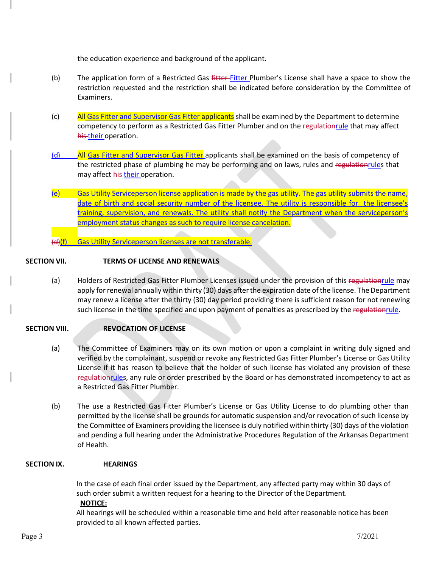the education experience and background of the applicant.

- (b) The application form of a Restricted Gas fitter-Fitter Plumber's License shall have a space to show the restriction requested and the restriction shall be indicated before consideration by the Committee of Examiners.
- (c) All Gas Fitter and Supervisor Gas Fitter applicants shall be examined by the Department to determine competency to perform as a Restricted Gas Fitter Plumber and on the regulationrule that may affect his their operation.
- (d) All Gas Fitter and Supervisor Gas Fitter applicants shall be examined on the basis of competency of the restricted phase of plumbing he may be performing and on laws, rules and regulationrules that may affect his their operation.
- (e) Gas Utility Serviceperson license application is made by the gas utility. The gas utility submits the name, date of birth and social security number of the licensee. The utility is responsible for the licensee's training, supervision, and renewals. The utility shall notify the Department when the serviceperson's employment status changes as such to require license cancelation.

(d)(f) Gas Utility Serviceperson licenses are not transferable.

## **SECTION VII. TERMS OF LICENSE AND RENEWALS**

(a) Holders of Restricted Gas Fitter Plumber Licenses issued under the provision of this regulationrule may apply for renewal annually within thirty (30) days after the expiration date of the license. The Department may renew a license after the thirty (30) day period providing there is sufficient reason for not renewing such license in the time specified and upon payment of penalties as prescribed by the regulationrule.

# **SECTION VIII. REVOCATION OF LICENSE**

- (a) The Committee of Examiners may on its own motion or upon a complaint in writing duly signed and verified by the complainant, suspend or revoke any Restricted Gas Fitter Plumber's License or Gas Utility License if it has reason to believe that the holder of such license has violated any provision of these regulationrules, any rule or order prescribed by the Board or has demonstrated incompetency to act as a Restricted Gas Fitter Plumber.
- (b) The use a Restricted Gas Fitter Plumber's License or Gas Utility License to do plumbing other than permitted by the license shall be grounds for automatic suspension and/or revocation of such license by the Committee of Examiners providing the licensee is duly notified withinthirty (30) days of the violation and pending a full hearing under the Administrative Procedures Regulation of the Arkansas Department of Health.

#### **SECTION IX. HEARINGS**

In the case of each final order issued by the Department, any affected party may within 30 days of such order submit a written request for a hearing to the Director of the Department.

#### **NOTICE:**

All hearings will be scheduled within a reasonable time and held after reasonable notice has been provided to all known affected parties.